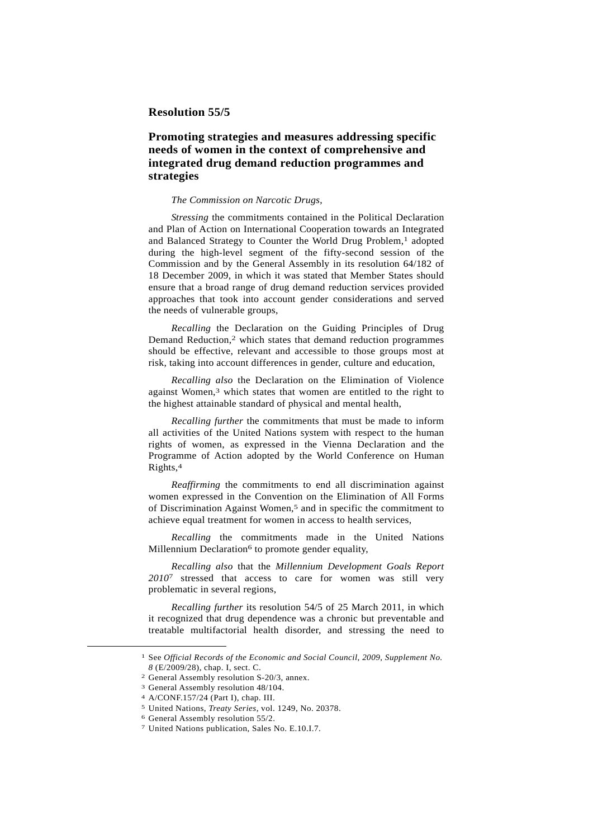## **Resolution 55/5**

## **Promoting strategies and measures addressing specific needs of women in the context of comprehensive and integrated drug demand reduction programmes and strategies**

## *The Commission on Narcotic Drugs*,

*Stressing* the commitments contained in the Political Declaration and Plan of Action on International Cooperation towards an Integrated and Balanced Strategy to Counter the World Drug Problem,<sup>1</sup> adopted during the high-level segment of the fifty-second session of the Commission and by the General Assembly in its resolution 64/182 of 18 December 2009, in which it was stated that Member States should ensure that a broad range of drug demand reduction services provided approaches that took into account gender considerations and served the needs of vulnerable groups,

*Recalling* the Declaration on the Guiding Principles of Drug Demand Reduction,<sup>2</sup> which states that demand reduction programmes should be effective, relevant and accessible to those groups most at risk, taking into account differences in gender, culture and education,

*Recalling also* the Declaration on the Elimination of Violence against Women,3 which states that women are entitled to the right to the highest attainable standard of physical and mental health,

*Recalling further* the commitments that must be made to inform all activities of the United Nations system with respect to the human rights of women, as expressed in the Vienna Declaration and the Programme of Action adopted by the World Conference on Human Rights,4

*Reaffirming* the commitments to end all discrimination against women expressed in the Convention on the Elimination of All Forms of Discrimination Against Women,5 and in specific the commitment to achieve equal treatment for women in access to health services,

*Recalling* the commitments made in the United Nations Millennium Declaration<sup>6</sup> to promote gender equality,

*Recalling also* that the *Millennium Development Goals Report 2010*7 stressed that access to care for women was still very problematic in several regions,

*Recalling further* its resolution 54/5 of 25 March 2011, in which it recognized that drug dependence was a chronic but preventable and treatable multifactorial health disorder, and stressing the need to

 <sup>1</sup> See *Official Records of the Economic and Social Council, 2009, Supplement No. <sup>8</sup>* (E/2009/28), chap. I, sect. C. 2 General Assembly resolution S-20/3, annex.

<sup>3</sup> General Assembly resolution 48/104.

<sup>4</sup> A/CONF.157/24 (Part I), chap. III.

<sup>5</sup> United Nations, *Treaty Series*, vol. 1249, No. 20378. 6 General Assembly resolution 55/2.

<sup>7</sup> United Nations publication, Sales No. E.10.I.7.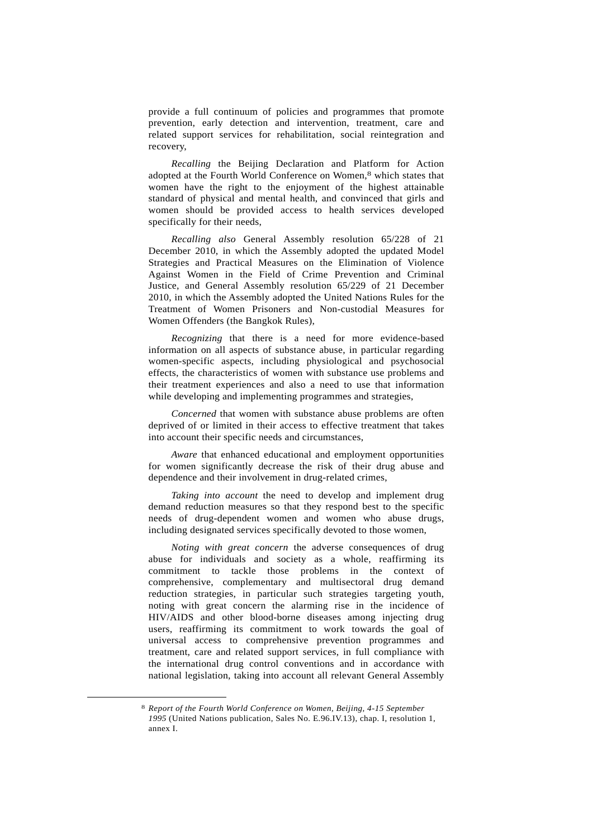provide a full continuum of policies and programmes that promote prevention, early detection and intervention, treatment, care and related support services for rehabilitation, social reintegration and recovery,

*Recalling* the Beijing Declaration and Platform for Action adopted at the Fourth World Conference on Women,8 which states that women have the right to the enjoyment of the highest attainable standard of physical and mental health, and convinced that girls and women should be provided access to health services developed specifically for their needs,

*Recalling also* General Assembly resolution 65/228 of 21 December 2010, in which the Assembly adopted the updated Model Strategies and Practical Measures on the Elimination of Violence Against Women in the Field of Crime Prevention and Criminal Justice, and General Assembly resolution 65/229 of 21 December 2010, in which the Assembly adopted the United Nations Rules for the Treatment of Women Prisoners and Non-custodial Measures for Women Offenders (the Bangkok Rules),

*Recognizing* that there is a need for more evidence-based information on all aspects of substance abuse, in particular regarding women-specific aspects, including physiological and psychosocial effects, the characteristics of women with substance use problems and their treatment experiences and also a need to use that information while developing and implementing programmes and strategies,

*Concerned* that women with substance abuse problems are often deprived of or limited in their access to effective treatment that takes into account their specific needs and circumstances,

*Aware* that enhanced educational and employment opportunities for women significantly decrease the risk of their drug abuse and dependence and their involvement in drug-related crimes,

*Taking into account* the need to develop and implement drug demand reduction measures so that they respond best to the specific needs of drug-dependent women and women who abuse drugs, including designated services specifically devoted to those women,

*Noting with great concern* the adverse consequences of drug abuse for individuals and society as a whole, reaffirming its commitment to tackle those problems in the context of comprehensive, complementary and multisectoral drug demand reduction strategies, in particular such strategies targeting youth, noting with great concern the alarming rise in the incidence of HIV/AIDS and other blood-borne diseases among injecting drug users, reaffirming its commitment to work towards the goal of universal access to comprehensive prevention programmes and treatment, care and related support services, in full compliance with the international drug control conventions and in accordance with national legislation, taking into account all relevant General Assembly

 <sup>8</sup> *Report of the Fourth World Conference on Women, Beijing, 4-15 September 1995* (United Nations publication, Sales No. E.96.IV.13), chap. I, resolution 1, annex I.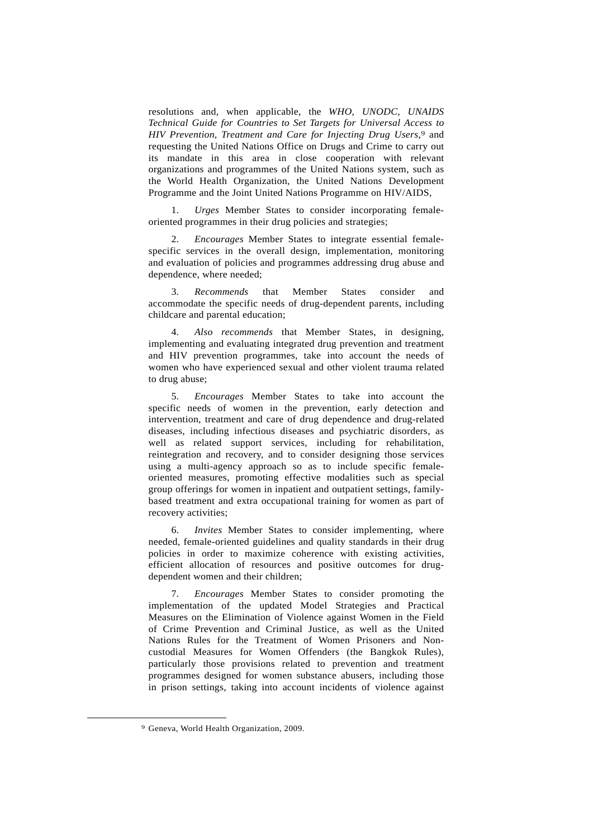resolutions and, when applicable, the *WHO, UNODC, UNAIDS Technical Guide for Countries to Set Targets for Universal Access to HIV Prevention, Treatment and Care for Injecting Drug Users*,9 and requesting the United Nations Office on Drugs and Crime to carry out its mandate in this area in close cooperation with relevant organizations and programmes of the United Nations system, such as the World Health Organization, the United Nations Development Programme and the Joint United Nations Programme on HIV/AIDS,

 1. *Urges* Member States to consider incorporating femaleoriented programmes in their drug policies and strategies;

 2. *Encourages* Member States to integrate essential femalespecific services in the overall design, implementation, monitoring and evaluation of policies and programmes addressing drug abuse and dependence, where needed;

 3. *Recommends* that Member States consider and accommodate the specific needs of drug-dependent parents, including childcare and parental education;

 4. *Also recommends* that Member States, in designing, implementing and evaluating integrated drug prevention and treatment and HIV prevention programmes, take into account the needs of women who have experienced sexual and other violent trauma related to drug abuse;

 5. *Encourages* Member States to take into account the specific needs of women in the prevention, early detection and intervention, treatment and care of drug dependence and drug-related diseases, including infectious diseases and psychiatric disorders, as well as related support services, including for rehabilitation, reintegration and recovery, and to consider designing those services using a multi-agency approach so as to include specific femaleoriented measures, promoting effective modalities such as special group offerings for women in inpatient and outpatient settings, familybased treatment and extra occupational training for women as part of recovery activities;

 6. *Invites* Member States to consider implementing, where needed, female-oriented guidelines and quality standards in their drug policies in order to maximize coherence with existing activities, efficient allocation of resources and positive outcomes for drugdependent women and their children;

 7. *Encourages* Member States to consider promoting the implementation of the updated Model Strategies and Practical Measures on the Elimination of Violence against Women in the Field of Crime Prevention and Criminal Justice, as well as the United Nations Rules for the Treatment of Women Prisoners and Noncustodial Measures for Women Offenders (the Bangkok Rules), particularly those provisions related to prevention and treatment programmes designed for women substance abusers, including those in prison settings, taking into account incidents of violence against

 <sup>9</sup> Geneva, World Health Organization, 2009.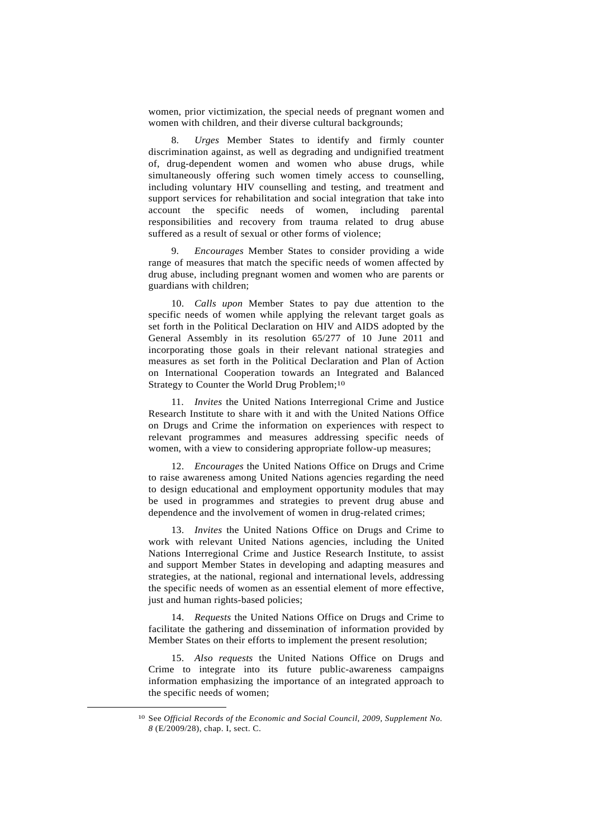women, prior victimization, the special needs of pregnant women and women with children, and their diverse cultural backgrounds;

 8. *Urges* Member States to identify and firmly counter discrimination against, as well as degrading and undignified treatment of, drug-dependent women and women who abuse drugs, while simultaneously offering such women timely access to counselling, including voluntary HIV counselling and testing, and treatment and support services for rehabilitation and social integration that take into account the specific needs of women, including parental responsibilities and recovery from trauma related to drug abuse suffered as a result of sexual or other forms of violence;

 9. *Encourages* Member States to consider providing a wide range of measures that match the specific needs of women affected by drug abuse, including pregnant women and women who are parents or guardians with children;

 10. *Calls upon* Member States to pay due attention to the specific needs of women while applying the relevant target goals as set forth in the Political Declaration on HIV and AIDS adopted by the General Assembly in its resolution 65/277 of 10 June 2011 and incorporating those goals in their relevant national strategies and measures as set forth in the Political Declaration and Plan of Action on International Cooperation towards an Integrated and Balanced Strategy to Counter the World Drug Problem;10

 11. *Invites* the United Nations Interregional Crime and Justice Research Institute to share with it and with the United Nations Office on Drugs and Crime the information on experiences with respect to relevant programmes and measures addressing specific needs of women, with a view to considering appropriate follow-up measures;

 12. *Encourages* the United Nations Office on Drugs and Crime to raise awareness among United Nations agencies regarding the need to design educational and employment opportunity modules that may be used in programmes and strategies to prevent drug abuse and dependence and the involvement of women in drug-related crimes;

 13. *Invites* the United Nations Office on Drugs and Crime to work with relevant United Nations agencies, including the United Nations Interregional Crime and Justice Research Institute, to assist and support Member States in developing and adapting measures and strategies, at the national, regional and international levels, addressing the specific needs of women as an essential element of more effective, just and human rights-based policies;

 14. *Requests* the United Nations Office on Drugs and Crime to facilitate the gathering and dissemination of information provided by Member States on their efforts to implement the present resolution;

 15. *Also requests* the United Nations Office on Drugs and Crime to integrate into its future public-awareness campaigns information emphasizing the importance of an integrated approach to the specific needs of women;

 <sup>10</sup> See *Official Records of the Economic and Social Council, 2009, Supplement No. 8* (E/2009/28), chap. I, sect. C.